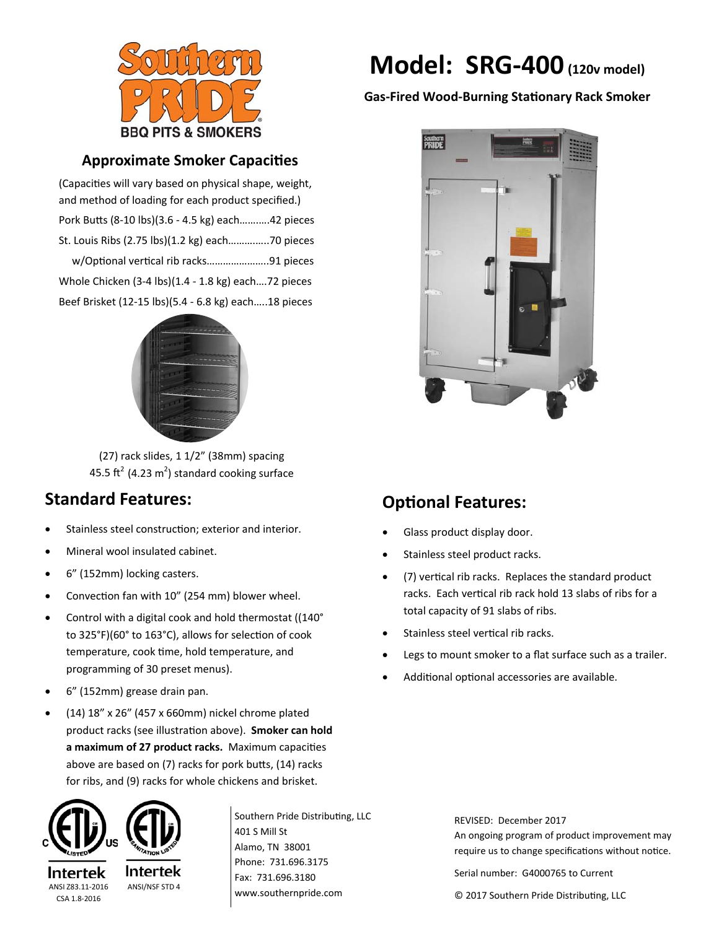

## **Approximate Smoker CapaciƟes**

(Capacities will vary based on physical shape, weight, and method of loading for each product specified.) Pork BuƩs (8‐10 lbs)(3.6 ‐ 4.5 kg) each…….….42 pieces St. Louis Ribs (2.75 lbs)(1.2 kg) each……….…..70 pieces w/Optional vertical rib racks.......................91 pieces Whole Chicken (3‐4 lbs)(1.4 ‐ 1.8 kg) each….72 pieces Beef Brisket (12‐15 lbs)(5.4 ‐ 6.8 kg) each…..18 pieces



(27) rack slides, 1 1/2" (38mm) spacing 45.5 ft<sup>2</sup> (4.23 m<sup>2</sup>) standard cooking surface

## **Standard Features:**

- Stainless steel construction; exterior and interior.
- Mineral wool insulated cabinet.
- 6" (152mm) locking casters.
- Convection fan with 10" (254 mm) blower wheel.
- Control with a digital cook and hold thermostat ((140° to 325°F)(60° to 163°C), allows for selection of cook temperature, cook time, hold temperature, and programming of 30 preset menus).
- 6" (152mm) grease drain pan.
- (14) 18" x 26" (457 x 660mm) nickel chrome plated product racks (see illustraƟon above). **Smoker can hold a maximum of 27 product racks.** Maximum capaciƟes above are based on (7) racks for pork butts, (14) racks for ribs, and (9) racks for whole chickens and brisket.



Intertek ANSI Z83.11‐2016 CSA 1.8‐2016

**Intertek** ANSI/NSF STD 4 Southern Pride Distributing, LLC 401 S Mill St Alamo, TN 38001 Phone: 731.696.3175 Fax: 731.696.3180 www.southernpride.com

# **Model: SRG‐400(120v model)**

## **Gas‐Fired Wood‐Burning StaƟonary Rack Smoker**



# **OpƟonal Features:**

- Glass product display door.
- Stainless steel product racks.
- $(7)$  vertical rib racks. Replaces the standard product racks. Each vertical rib rack hold 13 slabs of ribs for a total capacity of 91 slabs of ribs.
- Stainless steel vertical rib racks.
- Legs to mount smoker to a flat surface such as a trailer.
- Additional optional accessories are available.

REVISED: December 2017 An ongoing program of product improvement may require us to change specifications without notice.

Serial number: G4000765 to Current

© 2017 Southern Pride Distributing, LLC